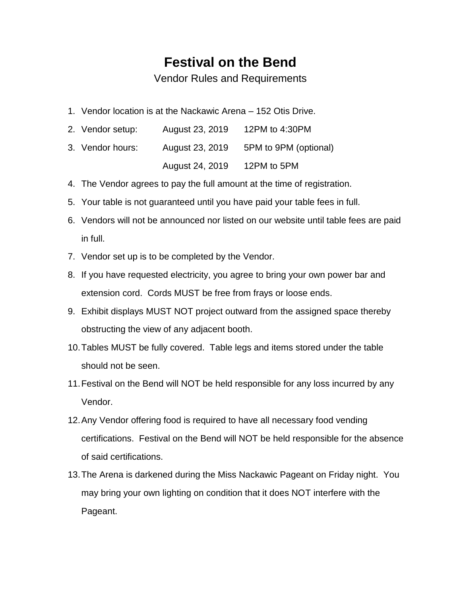## **Festival on the Bend**

Vendor Rules and Requirements

1. Vendor location is at the Nackawic Arena – 152 Otis Drive.

| 2. Vendor setup: | August 23, 2019 | 12PM to 4:30PM        |
|------------------|-----------------|-----------------------|
| 3. Vendor hours: | August 23, 2019 | 5PM to 9PM (optional) |
|                  | August 24, 2019 | 12PM to 5PM           |

- 4. The Vendor agrees to pay the full amount at the time of registration.
- 5. Your table is not guaranteed until you have paid your table fees in full.
- 6. Vendors will not be announced nor listed on our website until table fees are paid in full.
- 7. Vendor set up is to be completed by the Vendor.
- 8. If you have requested electricity, you agree to bring your own power bar and extension cord. Cords MUST be free from frays or loose ends.
- 9. Exhibit displays MUST NOT project outward from the assigned space thereby obstructing the view of any adjacent booth.
- 10.Tables MUST be fully covered. Table legs and items stored under the table should not be seen.
- 11.Festival on the Bend will NOT be held responsible for any loss incurred by any Vendor.
- 12.Any Vendor offering food is required to have all necessary food vending certifications. Festival on the Bend will NOT be held responsible for the absence of said certifications.
- 13.The Arena is darkened during the Miss Nackawic Pageant on Friday night. You may bring your own lighting on condition that it does NOT interfere with the Pageant.